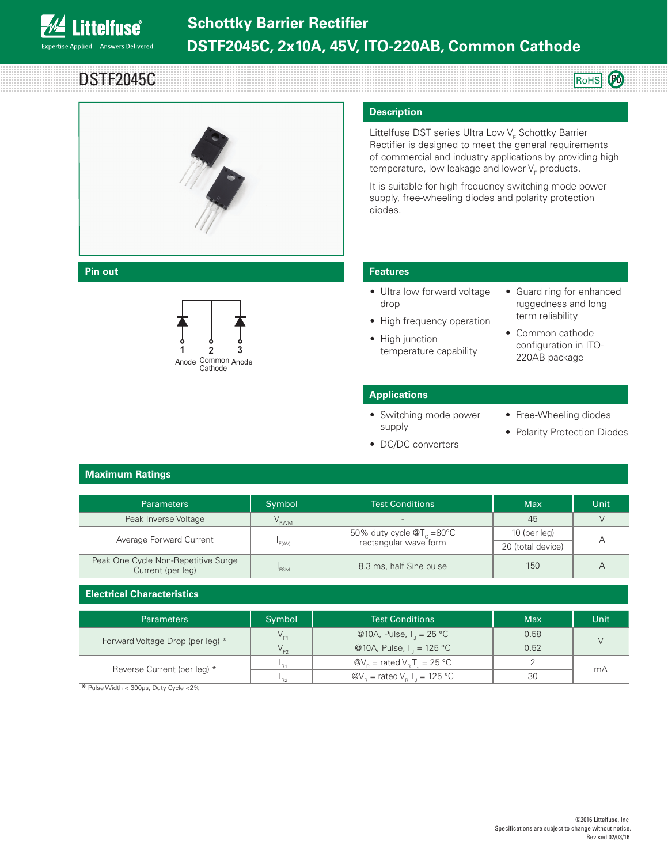

DSTF2045C ROHS PD



## **Heat sink**



### **Description**

Littelfuse DST series Ultra Low V<sub>F</sub> Schottky Barrier Rectifier is designed to meet the general requirements of commercial and industry applications by providing high temperature, low leakage and lower  $\mathsf{V}_{_{\mathsf{F}}}$  products.

It is suitable for high frequency switching mode power supply, free-wheeling diodes and polarity protection diodes.

### **Pin out Features**

- Ultra low forward voltage drop • High frequency operation
- Guard ring for enhanced ruggedness and long term reliability
- High junction temperature capability
- Common cathode configuration in ITO-220AB package

### **Applications**

- Switching mode power supply
- Free-Wheeling diodes
- Polarity Protection Diodes
- DC/DC converters

### **Maximum Ratings**

| <b>Parameters</b>                                        | Symbol           | <b>Test Conditions</b>                                         | <b>Max</b>        | Unit |
|----------------------------------------------------------|------------------|----------------------------------------------------------------|-------------------|------|
| Peak Inverse Voltage                                     | V <sub>RWM</sub> |                                                                | 45                |      |
| Average Forward Current                                  | 'F(AV)           | 50% duty cycle $\mathcal{Q}T_c$ =80°C<br>rectangular wave form | 10 (per leg)      |      |
|                                                          |                  |                                                                | 20 (total device) |      |
| Peak One Cycle Non-Repetitive Surge<br>Current (per leg) | 'FSM             | 8.3 ms, half Sine pulse                                        | 150               |      |

### **Electrical Characteristics**

| <b>Parameters</b>                | Symbol   | <b>Test Conditions</b>                                               | <b>Max</b> | Unit |
|----------------------------------|----------|----------------------------------------------------------------------|------------|------|
| Forward Voltage Drop (per leg) * |          | @10A, Pulse, T, = 25 °C                                              | 0.58       |      |
|                                  | V ro     | @10A, Pulse, T, = 125 °C                                             | 0.52       |      |
| Reverse Current (per leg) *      | 'R1      | $\mathcal{Q}V_{\rm p}$ = rated V <sub>p</sub> T <sub>1</sub> = 25 °C |            | mA   |
|                                  | $P_{R2}$ | $\omega_{\text{R}}$ = rated $V_{\text{R}}$ T <sub>1</sub> = 125 °C   | 30         |      |

\* Pulse Width < 300μs, Duty Cycle <2%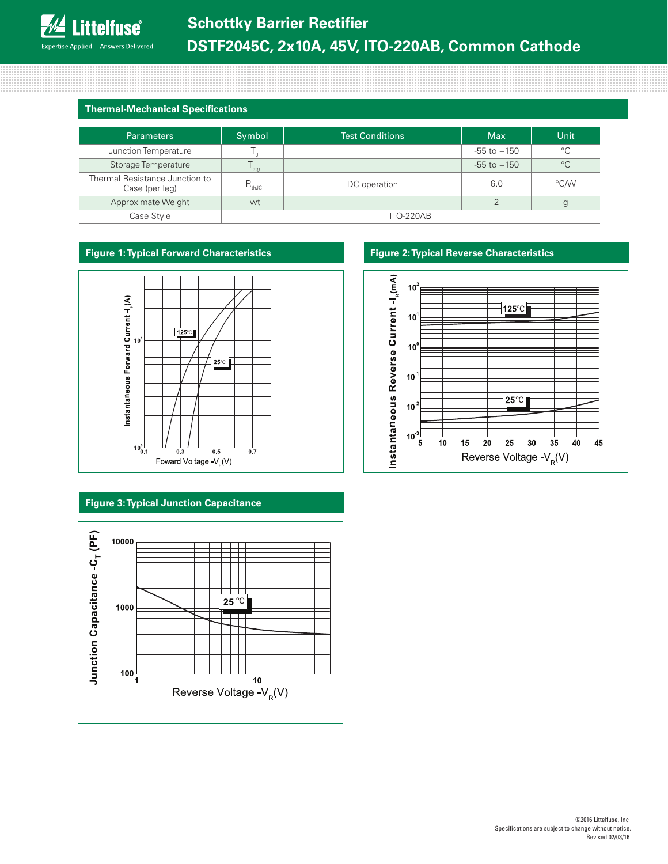### **Thermal-Mechanical Specifications**

| <b>Parameters</b>                                | Symbol     | <b>Test Conditions</b> | <b>Max</b>      | Unit        |
|--------------------------------------------------|------------|------------------------|-----------------|-------------|
| Junction Temperature                             |            |                        | $-55$ to $+150$ | $^{\circ}C$ |
| Storage Temperature                              | stg        |                        | $-55$ to $+150$ | $^{\circ}C$ |
| Thermal Resistance Junction to<br>Case (per leg) | $R_{thJC}$ | DC operation           | 6.0             | °C∕W        |
| Approximate Weight                               | wt         |                        | ↷               |             |
| Case Style                                       | ITO-220AB  |                        |                 |             |



### **Figure 3: Typical Junction Capacitance**



### **Figure 1: Typical Forward Characteristics Figure 2: Typical Reverse Characteristics**